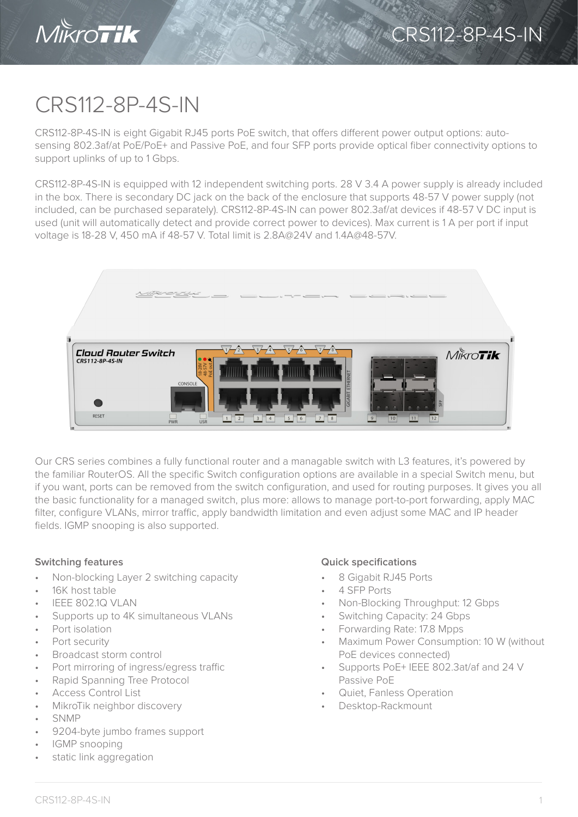

## CRS112-8P-4S-IN

CRS112-8P-4S-IN is eight Gigabit RJ45 ports PoE switch, that offers different power output options: autosensing 802.3af/at PoE/PoE+ and Passive PoE, and four SFP ports provide optical fiber connectivity options to support uplinks of up to 1 Gbps.

CRS112-8P-4S-IN is equipped with 12 independent switching ports. 28 V 3.4 A power supply is already included in the box. There is secondary DC jack on the back of the enclosure that supports 48-57 V power supply (not included, can be purchased separately). CRS112-8P-4S-IN can power 802.3af/at devices if 48-57 V DC input is used (unit will automatically detect and provide correct power to devices). Max current is 1 A per port if input voltage is 18-28 V, 450 mA if 48-57 V. Total limit is 2.8A@24V and 1.4A@48-57V.



Our CRS series combines a fully functional router and a managable switch with L3 features, it's powered by the familiar RouterOS. All the specific Switch configuration options are available in a special Switch menu, but if you want, ports can be removed from the switch configuration, and used for routing purposes. It gives you all the basic functionality for a managed switch, plus more: allows to manage port-to-port forwarding, apply MAC filter, configure VLANs, mirror traffic, apply bandwidth limitation and even adjust some MAC and IP header fields. IGMP snooping is also supported.

- Non-blocking Layer 2 switching capacity
- 16K host table
- IEEE 802.1Q VLAN
- Supports up to 4K simultaneous VLANs
- Port isolation
- Port security
- Broadcast storm control
- Port mirroring of ingress/egress traffic
- Rapid Spanning Tree Protocol
- Access Control List
- MikroTik neighbor discovery
- SNMP
- 9204-byte jumbo frames support
- IGMP snooping
- static link aggregation

## **Switching features Quick specifications**

- 8 Gigabit RJ45 Ports
- 4 SFP Ports
- Non-Blocking Throughput: 12 Gbps
- Switching Capacity: 24 Gbps
- Forwarding Rate: 17.8 Mpps
- Maximum Power Consumption: 10 W (without PoE devices connected)
- Supports PoE+ IEEE 802.3at/af and 24 V Passive PoE
- Quiet, Fanless Operation
- Desktop-Rackmount